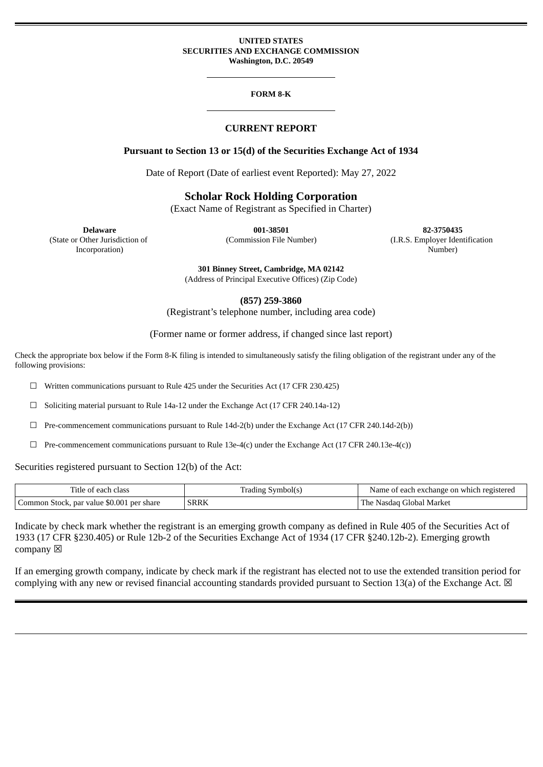#### **UNITED STATES SECURITIES AND EXCHANGE COMMISSION Washington, D.C. 20549**

#### **FORM 8-K**

### **CURRENT REPORT**

### **Pursuant to Section 13 or 15(d) of the Securities Exchange Act of 1934**

Date of Report (Date of earliest event Reported): May 27, 2022

# **Scholar Rock Holding Corporation**

(Exact Name of Registrant as Specified in Charter)

(State or Other Jurisdiction of Incorporation)

**Delaware 001-38501 82-3750435** (Commission File Number) (I.R.S. Employer Identification Number)

**301 Binney Street, Cambridge, MA 02142**

(Address of Principal Executive Offices) (Zip Code)

**(857) 259-3860**

(Registrant's telephone number, including area code)

### (Former name or former address, if changed since last report)

Check the appropriate box below if the Form 8-K filing is intended to simultaneously satisfy the filing obligation of the registrant under any of the following provisions:

 $\Box$  Written communications pursuant to Rule 425 under the Securities Act (17 CFR 230.425)

☐ Soliciting material pursuant to Rule 14a-12 under the Exchange Act (17 CFR 240.14a-12)

 $\Box$  Pre-commencement communications pursuant to Rule 14d-2(b) under the Exchange Act (17 CFR 240.14d-2(b))

 $\Box$  Pre-commencement communications pursuant to Rule 13e-4(c) under the Exchange Act (17 CFR 240.13e-4(c))

Securities registered pursuant to Section 12(b) of the Act:

| Title of each class                       | Trading Symbol(s) | Name of each exchange on which registered |
|-------------------------------------------|-------------------|-------------------------------------------|
| Common Stock, par value \$0.001 per share | <b>SRRK</b>       | The Nasdaq Global Market                  |

Indicate by check mark whether the registrant is an emerging growth company as defined in Rule 405 of the Securities Act of 1933 (17 CFR §230.405) or Rule 12b-2 of the Securities Exchange Act of 1934 (17 CFR §240.12b-2). Emerging growth company  $\boxtimes$ 

If an emerging growth company, indicate by check mark if the registrant has elected not to use the extended transition period for complying with any new or revised financial accounting standards provided pursuant to Section 13(a) of the Exchange Act.  $\boxtimes$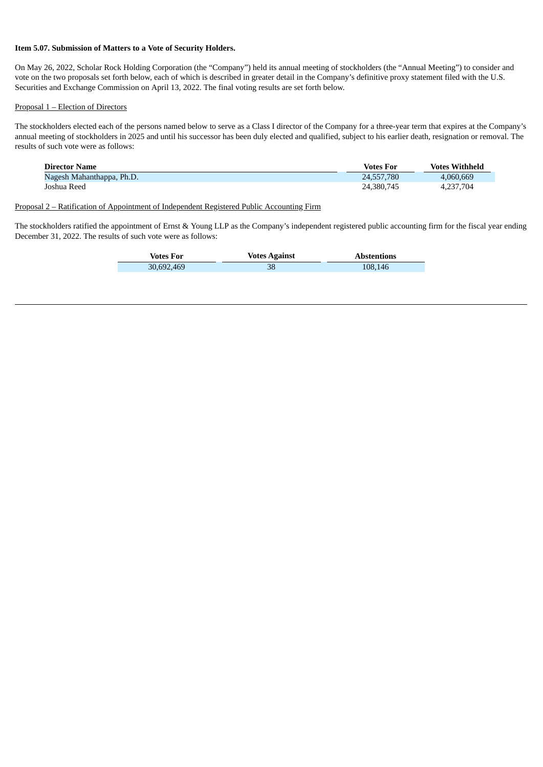#### **Item 5.07. Submission of Matters to a Vote of Security Holders.**

On May 26, 2022, Scholar Rock Holding Corporation (the "Company") held its annual meeting of stockholders (the "Annual Meeting") to consider and vote on the two proposals set forth below, each of which is described in greater detail in the Company's definitive proxy statement filed with the U.S. Securities and Exchange Commission on April 13, 2022. The final voting results are set forth below.

#### Proposal 1 – Election of Directors

The stockholders elected each of the persons named below to serve as a Class I director of the Company for a three-year term that expires at the Company's annual meeting of stockholders in 2025 and until his successor has been duly elected and qualified, subject to his earlier death, resignation or removal. The results of such vote were as follows:

| <b>Director Name</b>      | <b>Votes For</b> | <b>Votes Withheld</b> |
|---------------------------|------------------|-----------------------|
| Nagesh Mahanthappa, Ph.D. | 24,557,780       | 4,060,669             |
| Joshua Reed               | 24.380.745       | 4.237.704             |

### Proposal 2 – Ratification of Appointment of Independent Registered Public Accounting Firm

The stockholders ratified the appointment of Ernst & Young LLP as the Company's independent registered public accounting firm for the fiscal year ending December 31, 2022. The results of such vote were as follows:

| <b>Votes For</b> | <b>Votes Against</b> | <b>Abstentions</b> |
|------------------|----------------------|--------------------|
| 30,692,469       |                      | 108,146            |